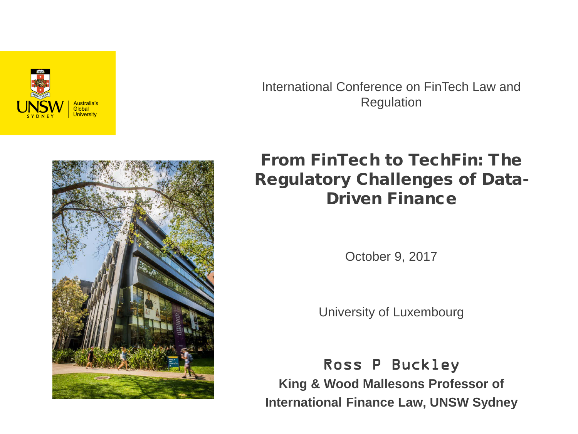

International Conference on FinTech Law and Regulation



From FinTech to TechFin: The Regulatory Challenges of Data-Driven Finance

October 9, 2017

University of Luxembourg

Ross P Buckley **King & Wood Mallesons Professor of International Finance Law, UNSW Sydney**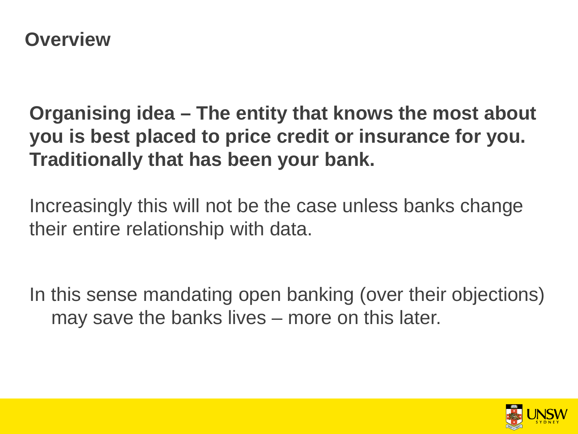**Organising idea – The entity that knows the most about you is best placed to price credit or insurance for you. Traditionally that has been your bank.**

Increasingly this will not be the case unless banks change their entire relationship with data.

In this sense mandating open banking (over their objections) may save the banks lives – more on this later.

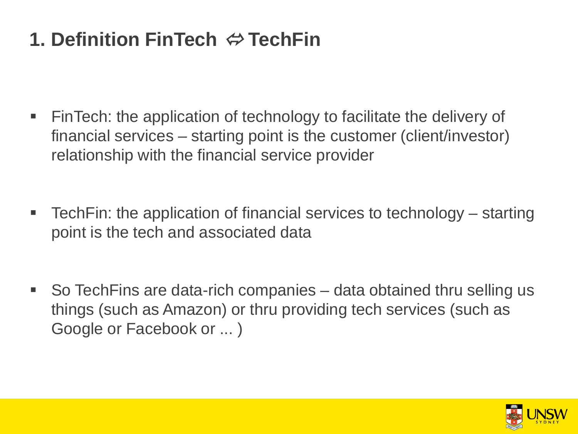# **1. Definition FinTech TechFin**

- FinTech: the application of technology to facilitate the delivery of financial services – starting point is the customer (client/investor) relationship with the financial service provider
- TechFin: the application of financial services to technology starting point is the tech and associated data
- So TechFins are data-rich companies data obtained thru selling us things (such as Amazon) or thru providing tech services (such as Google or Facebook or ... )

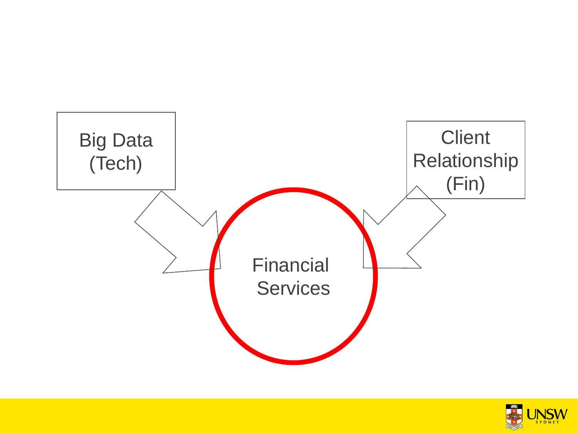

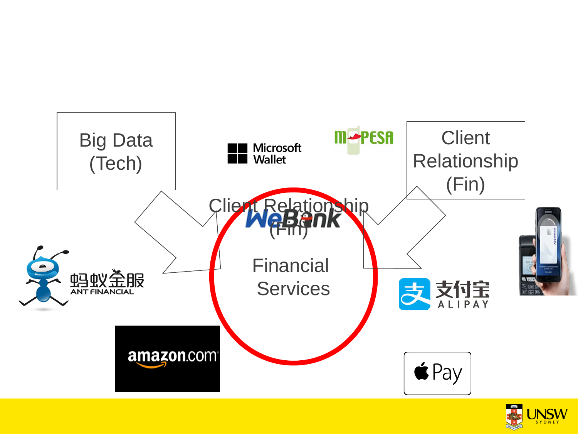

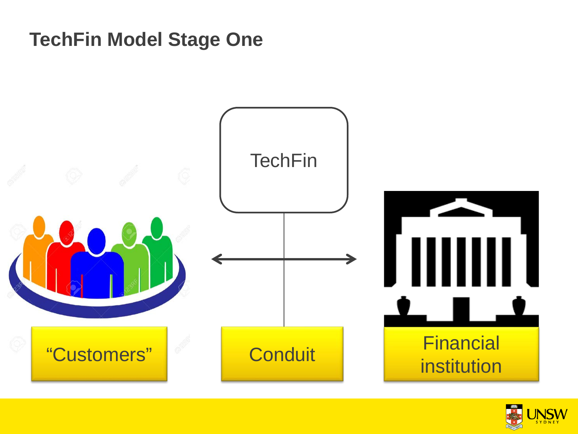#### **TechFin Model Stage One**



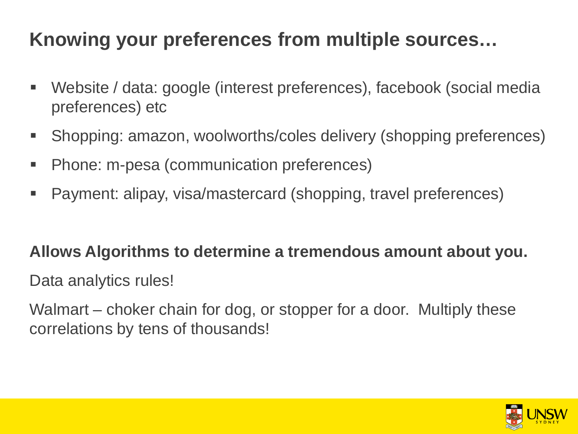## **Knowing your preferences from multiple sources…**

- Website / data: google (interest preferences), facebook (social media preferences) etc
- Shopping: amazon, woolworths/coles delivery (shopping preferences)
- Phone: m-pesa (communication preferences)
- Payment: alipay, visa/mastercard (shopping, travel preferences)

#### **Allows Algorithms to determine a tremendous amount about you.**

Data analytics rules!

Walmart – choker chain for dog, or stopper for a door. Multiply these correlations by tens of thousands!

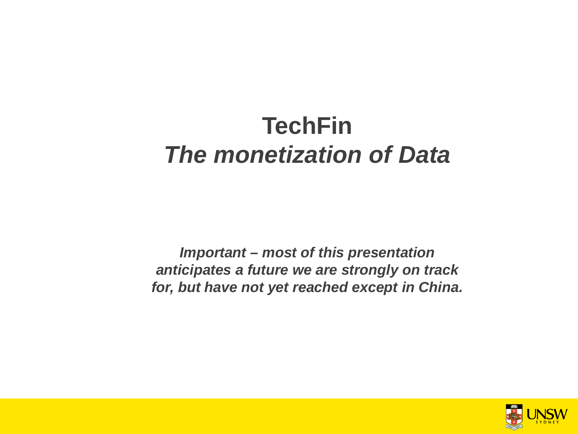# **TechFin** *The monetization of Data*

*Important – most of this presentation anticipates a future we are strongly on track for, but have not yet reached except in China.*

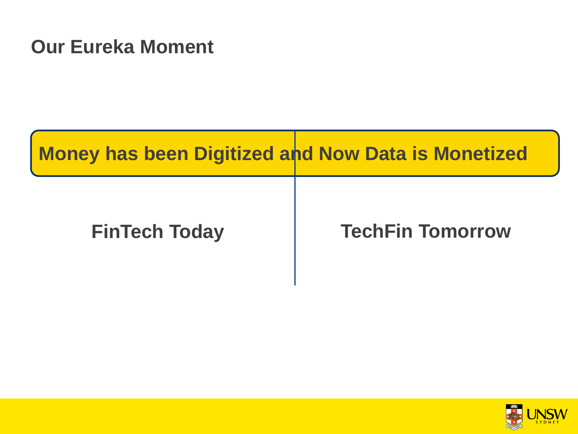#### **Our Eureka Moment**

| <b>Money has been Digitized and Now Data is Monetized</b> |                         |
|-----------------------------------------------------------|-------------------------|
| <b>FinTech Today</b>                                      | <b>TechFin Tomorrow</b> |

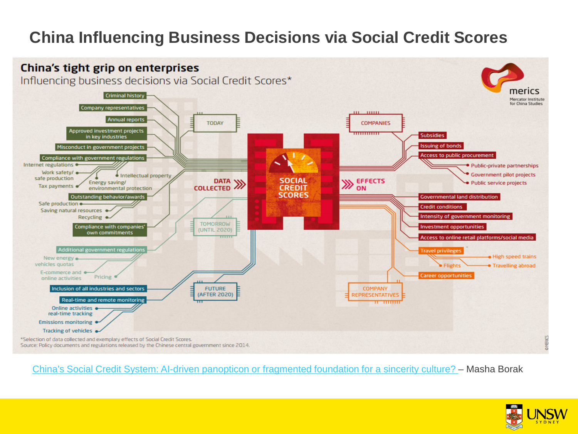#### **China Influencing Business Decisions via Social Credit Scores**



[China's Social Credit System: AI-driven panopticon or fragmented foundation for a sincerity culture? –](http://technode.com/2017/08/23/chinas-social-credit-system-ai-driven-panopticon-or-fragmented-foundation-for-a-sincerity-culture/) Masha Borak

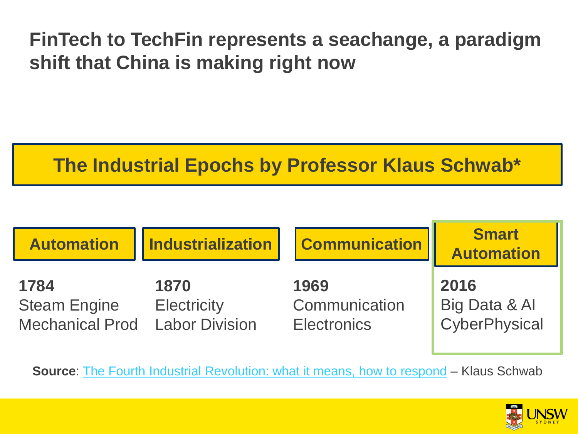## **FinTech to TechFin represents a seachange, a paradigm shift that China is making right now**

### **The Industrial Epochs by Professor Klaus Schwab\***

| <b>Automation</b>                                                    | <b>Industrialization</b>   | <b>Communication</b>                        | <b>Smart</b><br><b>Automation</b>      |
|----------------------------------------------------------------------|----------------------------|---------------------------------------------|----------------------------------------|
| 1784<br><b>Steam Engine</b><br><b>Mechanical Prod</b> Labor Division | 1870<br><b>Electricity</b> | 1969<br>Communication<br><b>Electronics</b> | 2016<br>Big Data & Al<br>CyberPhysical |

**Source:** [The Fourth Industrial Revolution: what it means, how to respond](https://www.weforum.org/agenda/2016/01/the-fourth-industrial-revolution-what-it-means-and-how-to-respond/) – Klaus Schwab

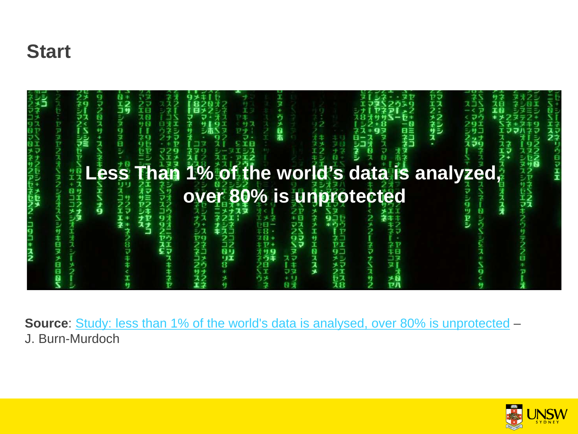#### **Start**



**Source**: [Study: less than 1% of the world's data is analysed, over 80% is unprotected](http://www.theguardian.com/news/datablog/2012/dec/19/big-data-study-digital-universe-global-volume) – J. Burn-Murdoch

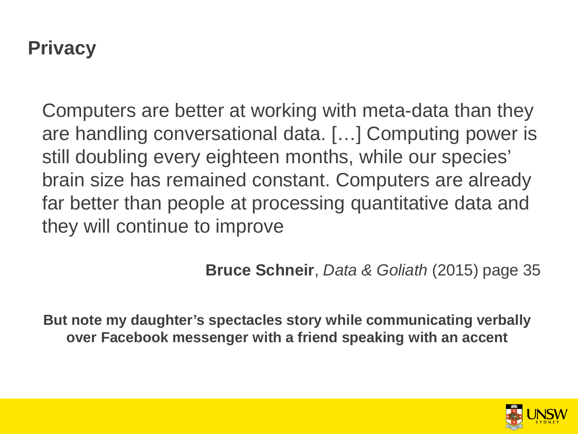#### **Privacy**

size has remained constant. Computers are alrea **over 80 is under a tracessing quantities** Computers are better at working with meta-data than they are handling conversational data. […] Computing power is still doubling every eighteen months, while our species' brain size has remained constant. Computers are already far better than people at processing quantitative data and they will continue to improve

**Bruce Schneir**, *Data & Goliath* (2015) page 35

**But note my daughter's spectacles story while communicating verbally over Facebook messenger with a friend speaking with an accent** 

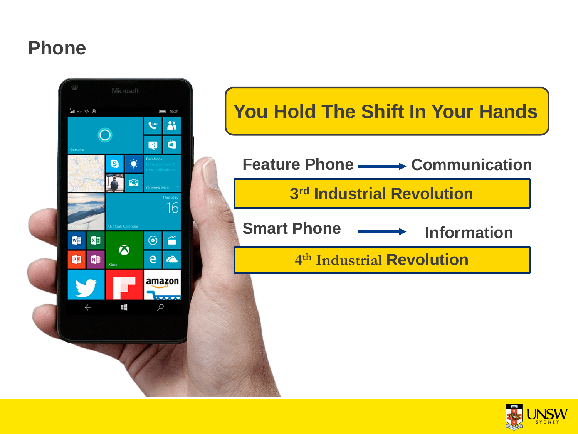#### **Phone**



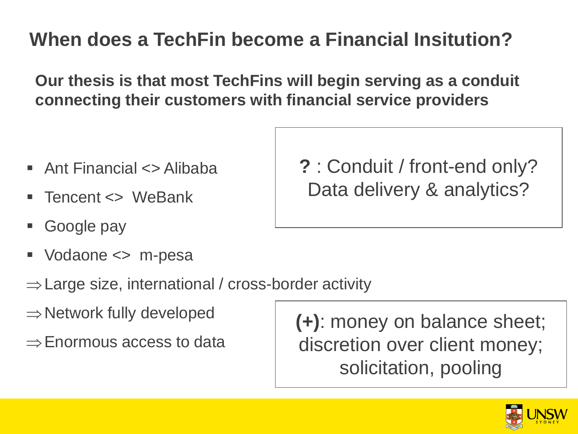## **When does a TechFin become a Financial Insitution?**

**Our thesis is that most TechFins will begin serving as a conduit connecting their customers with financial service providers**

- Ant Financial <> Alibaba
- Tencent <> WeBank
- Google pay
- Vodaone <> m-pesa
- ⇒Large size, international / cross-border activity
- $\Rightarrow$  Network fully developed
- ⇒Enormous access to data

**(+)**: money on balance sheet; discretion over client money; solicitation, pooling



**?** : Conduit / front-end only? Data delivery & analytics?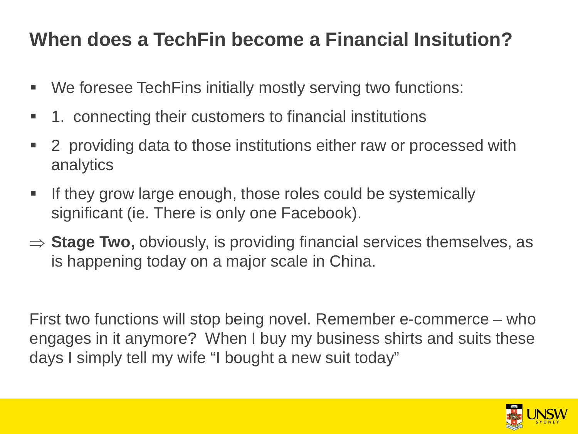## **When does a TechFin become a Financial Insitution?**

- We foresee TechFins initially mostly serving two functions:
- 1. connecting their customers to financial institutions
- **2** providing data to those institutions either raw or processed with analytics
- **If they grow large enough, those roles could be systemically** significant (ie. There is only one Facebook).
- ⇒ **Stage Two,** obviously, is providing financial services themselves, as is happening today on a major scale in China.

First two functions will stop being novel. Remember e-commerce – who engages in it anymore? When I buy my business shirts and suits these days I simply tell my wife "I bought a new suit today"

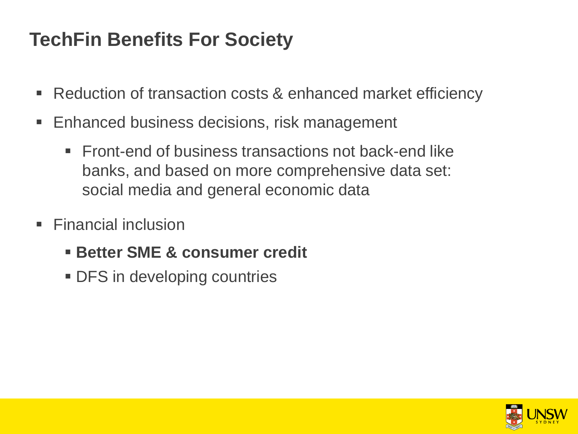### **TechFin Benefits For Society**

- Reduction of transaction costs & enhanced market efficiency
- Enhanced business decisions, risk management
	- Front-end of business transactions not back-end like banks, and based on more comprehensive data set: social media and general economic data
- $\blacksquare$  Financial inclusion
	- **Better SME & consumer credit**
	- **DFS** in developing countries

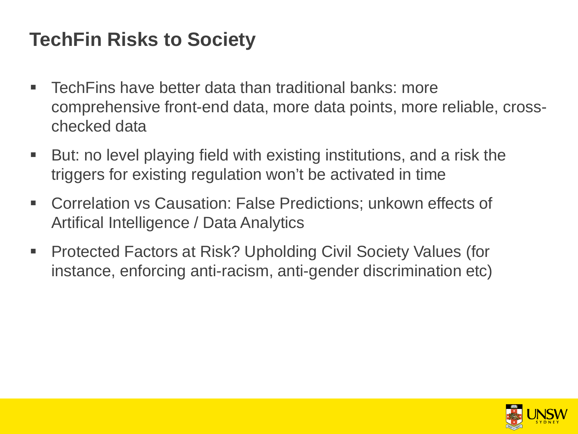#### **TechFin Risks to Society**

- TechFins have better data than traditional banks: more comprehensive front-end data, more data points, more reliable, crosschecked data
- But: no level playing field with existing institutions, and a risk the triggers for existing regulation won't be activated in time
- Correlation vs Causation: False Predictions; unkown effects of Artifical Intelligence / Data Analytics
- Protected Factors at Risk? Upholding Civil Society Values (for instance, enforcing anti-racism, anti-gender discrimination etc)

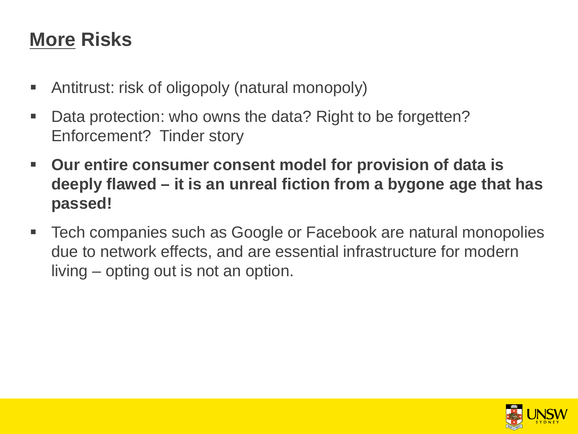### **More Risks**

- Antitrust: risk of oligopoly (natural monopoly)
- Data protection: who owns the data? Right to be forgetten? Enforcement? Tinder story
- **Our entire consumer consent model for provision of data is deeply flawed – it is an unreal fiction from a bygone age that has passed!**
- Tech companies such as Google or Facebook are natural monopolies due to network effects, and are essential infrastructure for modern living – opting out is not an option.

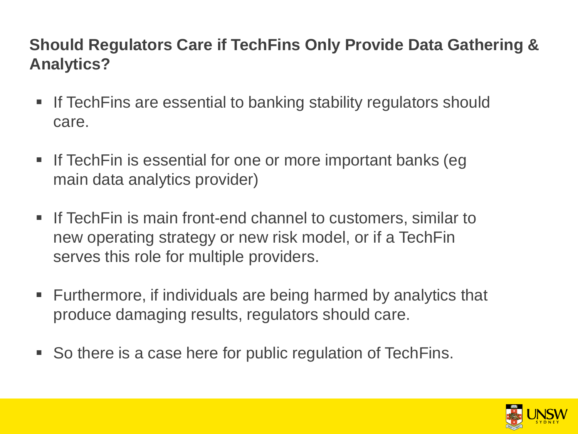#### **Should Regulators Care if TechFins Only Provide Data Gathering & Analytics?**

- If TechFins are essential to banking stability regulators should care.
- If TechFin is essential for one or more important banks (eg main data analytics provider)
- If TechFin is main front-end channel to customers, similar to new operating strategy or new risk model, or if a TechFin serves this role for multiple providers.
- Furthermore, if individuals are being harmed by analytics that produce damaging results, regulators should care.
- So there is a case here for public regulation of TechFins.

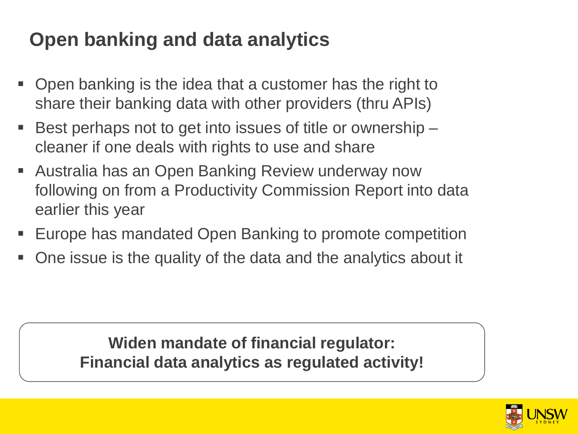## **Open banking and data analytics**

- Open banking is the idea that a customer has the right to share their banking data with other providers (thru APIs)
- Best perhaps not to get into issues of title or ownership  $$ cleaner if one deals with rights to use and share
- Australia has an Open Banking Review underway now following on from a Productivity Commission Report into data earlier this year
- Europe has mandated Open Banking to promote competition
- One issue is the quality of the data and the analytics about it

**Widen mandate of financial regulator: Financial data analytics as regulated activity!** 

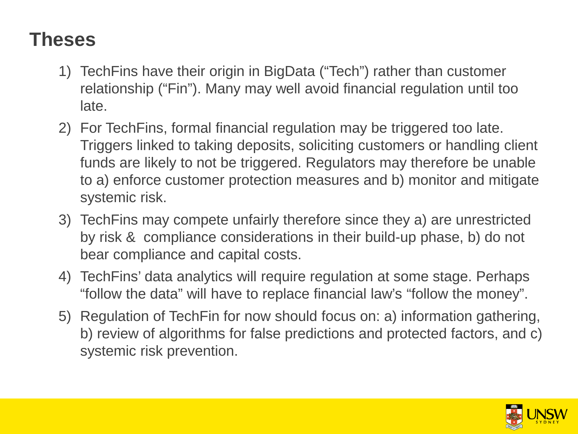### **Theses**

- 1) TechFins have their origin in BigData ("Tech") rather than customer relationship ("Fin"). Many may well avoid financial regulation until too late.
- 2) For TechFins, formal financial regulation may be triggered too late. Triggers linked to taking deposits, soliciting customers or handling client funds are likely to not be triggered. Regulators may therefore be unable to a) enforce customer protection measures and b) monitor and mitigate systemic risk.
- 3) TechFins may compete unfairly therefore since they a) are unrestricted by risk & compliance considerations in their build-up phase, b) do not bear compliance and capital costs.
- 4) TechFins' data analytics will require regulation at some stage. Perhaps "follow the data" will have to replace financial law's "follow the money".
- 5) Regulation of TechFin for now should focus on: a) information gathering, b) review of algorithms for false predictions and protected factors, and c) systemic risk prevention.

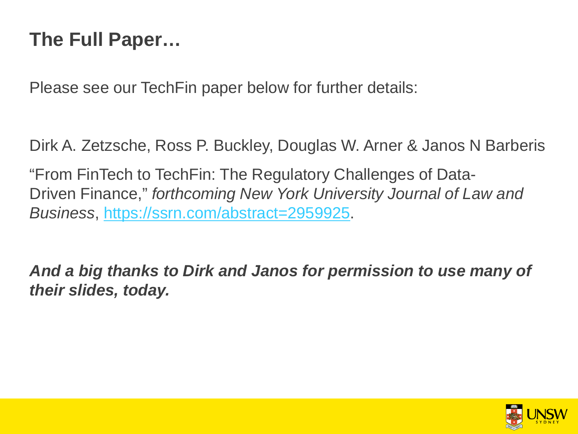### **The Full Paper…**

Please see our TechFin paper below for further details:

Dirk A. Zetzsche, Ross P. Buckley, Douglas W. Arner & Janos N Barberis

"From FinTech to TechFin: The Regulatory Challenges of Data-Driven Finance," *forthcoming New York University Journal of Law and Business*,<https://ssrn.com/abstract=2959925>.

*And a big thanks to Dirk and Janos for permission to use many of their slides, today.*